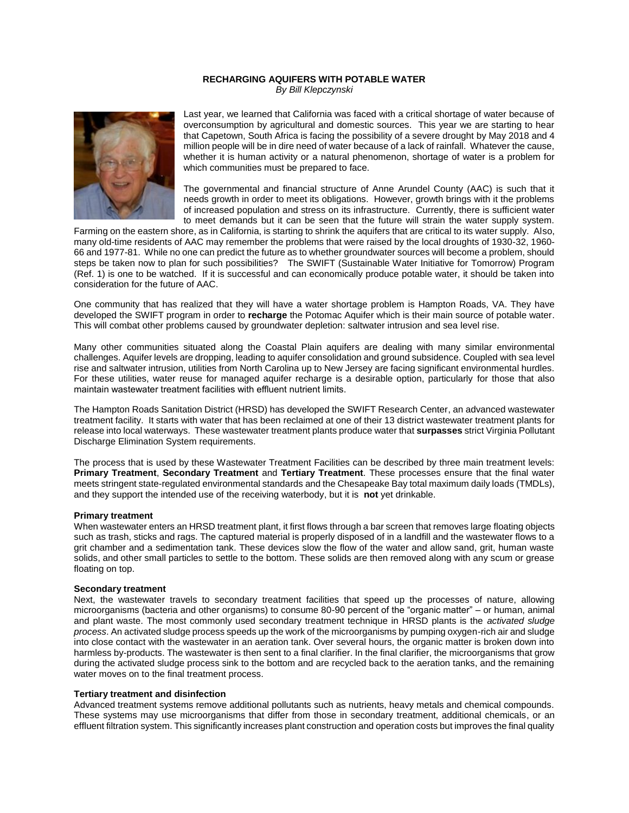# **RECHARGING AQUIFERS WITH POTABLE WATER** *By Bill Klepczynski*



Last year, we learned that California was faced with a critical shortage of water because of overconsumption by agricultural and domestic sources. This year we are starting to hear that Capetown, South Africa is facing the possibility of a severe drought by May 2018 and 4 million people will be in dire need of water because of a lack of rainfall. Whatever the cause, whether it is human activity or a natural phenomenon, shortage of water is a problem for which communities must be prepared to face.

The governmental and financial structure of Anne Arundel County (AAC) is such that it needs growth in order to meet its obligations. However, growth brings with it the problems of increased population and stress on its infrastructure. Currently, there is sufficient water to meet demands but it can be seen that the future will strain the water supply system.

Farming on the eastern shore, as in California, is starting to shrink the aquifers that are critical to its water supply. Also, many old-time residents of AAC may remember the problems that were raised by the local droughts of 1930-32, 1960- 66 and 1977-81. While no one can predict the future as to whether groundwater sources will become a problem, should steps be taken now to plan for such possibilities? The SWIFT (Sustainable Water Initiative for Tomorrow) Program (Ref. 1) is one to be watched. If it is successful and can economically produce potable water, it should be taken into consideration for the future of AAC.

One community that has realized that they will have a water shortage problem is Hampton Roads, VA. They have developed the SWIFT program in order to **recharge** the Potomac Aquifer which is their main source of potable water. This will combat other problems caused by groundwater depletion: saltwater intrusion and sea level rise.

Many other communities situated along the Coastal Plain aquifers are dealing with many similar environmental challenges. Aquifer levels are dropping, leading to aquifer consolidation and ground subsidence. Coupled with sea level rise and saltwater intrusion, utilities from North Carolina up to New Jersey are facing significant environmental hurdles. For these utilities, water reuse for managed aquifer recharge is a desirable option, particularly for those that also maintain wastewater treatment facilities with effluent nutrient limits.

The Hampton Roads Sanitation District (HRSD) has developed the SWIFT Research Center, an advanced wastewater treatment facility. It starts with water that has been reclaimed at one of their 13 district wastewater treatment plants for release into local waterways. These wastewater treatment plants produce water that **surpasses** strict Virginia Pollutant Discharge Elimination System requirements.

The process that is used by these Wastewater Treatment Facilities can be described by three main treatment levels: **Primary Treatment**, **Secondary Treatment** and **Tertiary Treatment**. These processes ensure that the final water meets stringent state-regulated environmental standards and the Chesapeake Bay total maximum daily loads (TMDLs), and they support the intended use of the receiving waterbody, but it is **not** yet drinkable.

# **Primary treatment**

When wastewater enters an HRSD treatment plant, it first flows through a bar screen that removes large floating objects such as trash, sticks and rags. The captured material is properly disposed of in a landfill and the wastewater flows to a grit chamber and a sedimentation tank. These devices slow the flow of the water and allow sand, grit, human waste solids, and other small particles to settle to the bottom. These solids are then removed along with any scum or grease floating on top.

# **Secondary treatment**

Next, the wastewater travels to secondary treatment facilities that speed up the processes of nature, allowing microorganisms (bacteria and other organisms) to consume 80-90 percent of the "organic matter" – or human, animal and plant waste. The most commonly used secondary treatment technique in HRSD plants is the *activated sludge process*. An activated sludge process speeds up the work of the microorganisms by pumping oxygen-rich air and sludge into close contact with the wastewater in an aeration tank. Over several hours, the organic matter is broken down into harmless by-products. The wastewater is then sent to a final clarifier. In the final clarifier, the microorganisms that grow during the activated sludge process sink to the bottom and are recycled back to the aeration tanks, and the remaining water moves on to the final treatment process.

# **Tertiary treatment and disinfection**

Advanced treatment systems remove additional pollutants such as nutrients, heavy metals and chemical compounds. These systems may use microorganisms that differ from those in secondary treatment, additional chemicals, or an effluent filtration system. This significantly increases plant construction and operation costs but improves the final quality